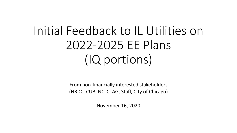# Initial Feedback to IL Utilities on 2022-2025 EE Plans (IQ portions)

From non-financially interested stakeholders (NRDC, CUB, NCLC, AG, Staff, City of Chicago)

November 16, 2020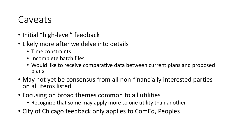#### Caveats

- Initial "high-level" feedback
- Likely more after we delve into details
	- Time constraints
	- Incomplete batch files
	- Would like to receive comparative data between current plans and proposed plans
- May not yet be consensus from all non-financially interested parties on all items listed
- Focusing on broad themes common to all utilities
	- Recognize that some may apply more to one utility than another
- City of Chicago feedback only applies to ComEd, Peoples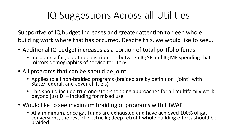#### IQ Suggestions Across all Utilities

Supportive of IQ budget increases and greater attention to deep whole building work where that has occurred. Despite this, we would like to see...

- Additional IQ budget increases as a portion of total portfolio funds
	- Including a fair, equitable distribution between IQ SF and IQ MF spending that mirrors demographics of service territory.
- All programs that can be should be joint
	- Applies to all non-braided programs (braided are by definition "joint" with State/Federal, and cover all fuels)
	- This should include true one-stop-shopping approaches for all multifamily work beyond just DI – including for mixed use
- Would like to see maximum braiding of programs with IHWAP
	- At a minimum, once gas funds are exhausted and have achieved 100% of gas conversions, the rest of electric IQ deep retrofit whole building efforts should be braided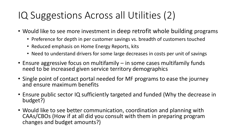## IQ Suggestions Across all Utilities (2)

- Would like to see more investment in deep retrofit whole building programs
	- Preference for depth in per customer savings vs. breadth of customers touched
	- Reduced emphasis on Home Energy Reports, kits
	- Need to understand drivers for some large decreases in costs per unit of savings
- Ensure aggressive focus on multifamily in some cases multifamily funds need to be increased given service territory demographics
- Single point of contact portal needed for MF programs to ease the journey and ensure maximum benefits
- Ensure public sector IQ sufficiently targeted and funded (Why the decrease in budget?)
- Would like to see better communication, coordination and planning with CAAs/CBOs (How if at all did you consult with them in preparing program changes and budget amounts?)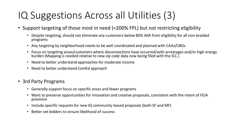## IQ Suggestions Across all Utilities (3)

- Support targeting of those most in need (<200% FPL) but not restricting eligibility
	- Despite targeting, should not eliminate any customers below 80% AMI from eligibility for all non-braided programs
	- Any targeting by neighborhood needs to be well coordinated and planned with CAAs/CBOs
	- Focus on targeting areas/customers where disconnections have occurred/with arrearages and/or high energy burden (Mapping is needed relative to new zip code data now being filed with the ICC.)
	- Need to better understand approaches for moderate income
	- Need to better understand ComEd approach
- 3rd Party Programs
	- Generally support focus on specific areas and fewer programs
	- Want to preserve opportunities for innovation and creative proposals, consistent with the intent of FEJA provision
	- Include specific requests for new IQ community-based proposals (both SF and MF)
	- Better vet bidders to ensure likelihood of success